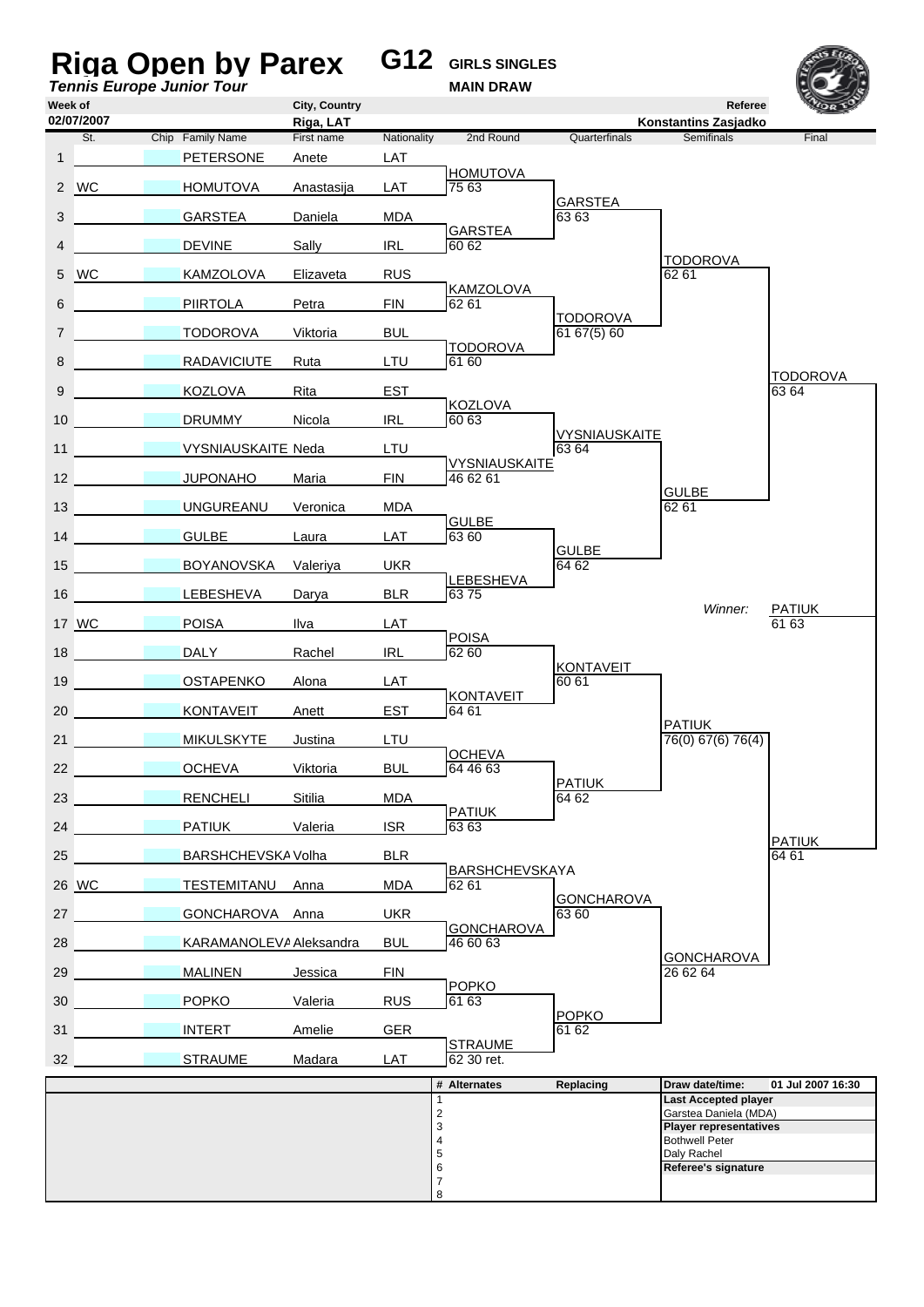| City, Country<br>Referee<br>02/07/2007<br>Riga, LAT<br>Konstantins Zasjadko<br>Chip Family Name<br>Nationality<br>2nd Round<br>Quarterfinals<br><b>Semifinals</b><br>St.<br>First name<br><b>PETERSONE</b><br>LAT<br>Anete<br><b>HOMUTOVA</b><br><b>HOMUTOVA</b><br>LAT<br>75 63<br>Anastasija<br><b>GARSTEA</b><br>GARSTEA<br>Daniela<br><b>MDA</b><br>63 63<br><b>GARSTEA</b><br><b>DEVINE</b><br>Sally<br><b>IRL</b><br>60 62<br><b>TODOROVA</b><br><b>WC</b><br><b>RUS</b><br>62 61<br><b>KAMZOLOVA</b><br>Elizaveta<br><b>KAMZOLOVA</b><br><b>PIIRTOLA</b><br>Petra<br><b>FIN</b><br>62 61<br>TODOROVA<br>6167(5)60<br><b>TODOROVA</b><br>Viktoria<br><b>BUL</b><br><b>TODOROVA</b><br><b>RADAVICIUTE</b><br>Ruta<br>LTU<br>61 60<br><b>TODOROVA</b><br><b>KOZLOVA</b><br>Rita<br><b>EST</b><br>63 64<br><b>KOZLOVA</b><br><b>IRL</b><br>60 63<br><b>DRUMMY</b><br>Nicola<br><b>VYSNIAUSKAITE</b><br><b>VYSNIAUSKAITE Neda</b><br>LTU<br>63 64<br><b>VYSNIAUSKAITE</b><br><b>FIN</b><br>46 62 61<br><b>JUPONAHO</b><br>Maria<br><b>GULBE</b><br><b>UNGUREANU</b><br>Veronica<br><b>MDA</b><br>62 61<br><b>GULBE</b><br><b>GULBE</b><br>Laura<br>LAT<br>63 60<br><b>GULBE</b><br>15<br><b>UKR</b><br><b>BOYANOVSKA</b><br>Valeriya<br>64 62<br>LEBESHEVA<br><b>Contract Contract</b><br>6375<br><b>LEBESHEVA</b><br>Darya<br><b>BLR</b><br>Winner:<br><b>PATIUK</b><br><b>POISA</b><br>Ilva<br>LAT<br>61 63<br><b>POISA</b><br><b>Contract Contract Contract</b><br><b>DALY</b><br>62 60<br>Rachel<br><b>IRL</b><br><b>KONTAVEIT</b><br><b>OSTAPENKO</b><br>Alona<br>LAT<br>60 61<br><b>KONTAVEIT</b><br><b>EST</b><br>64 61<br><b>KONTAVEIT</b><br>Anett<br><b>PATIUK</b><br>LTU<br>76(0) 67(6) 76(4)<br><b>MIKULSKYTE</b><br>Justina<br><b>OCHEVA</b><br><b>BUL</b><br>64 46 63<br><b>OCHEVA</b><br>Viktoria<br><b>PATIUK</b><br><b>RENCHELI</b><br>Sitilia<br><b>MDA</b><br>64 62<br><b>PATIUK</b><br><b>PATIUK</b><br><b>ISR</b><br>63 63<br>Valeria<br><b>PATIUK</b><br>BARSHCHEVSKA Volha<br><b>BLR</b><br>64 61<br><b>BARSHCHEVSKAYA</b><br>TESTEMITANU<br>MDA<br>62 61<br>Anna<br><b>GONCHAROVA</b><br>GONCHAROVA Anna<br><b>UKR</b><br>63 60<br><b>GONCHAROVA</b><br>KARAMANOLEVA Aleksandra<br><b>BUL</b><br>46 60 63<br><b>GONCHAROVA</b><br><b>MALINEN</b><br><b>FIN</b><br>26 62 64<br>Jessica<br><b>POPKO</b><br><b>POPKO</b><br><b>RUS</b><br>61 63<br>Valeria<br><b>POPKO</b><br><b>INTERT</b><br>Amelie<br><b>GER</b><br>61 62<br><b>STRAUME</b><br><b>STRAUME</b><br>LAT<br>62 30 ret.<br>Madara<br># Alternates<br>Replacing<br>Draw date/time:<br><b>Last Accepted player</b><br>1<br>$\overline{\mathbf{c}}$<br>Garstea Daniela (MDA)<br>3<br><b>Player representatives</b><br>4<br><b>Bothwell Peter</b><br>5<br>Daly Rachel<br>6<br>Referee's signature |                 | Riga Open by Parex<br><b>Tennis Europe Junior Tour</b> |  | <b>G12</b> GIRLS SINGLES<br><b>MAIN DRAW</b> |  |                   |
|------------------------------------------------------------------------------------------------------------------------------------------------------------------------------------------------------------------------------------------------------------------------------------------------------------------------------------------------------------------------------------------------------------------------------------------------------------------------------------------------------------------------------------------------------------------------------------------------------------------------------------------------------------------------------------------------------------------------------------------------------------------------------------------------------------------------------------------------------------------------------------------------------------------------------------------------------------------------------------------------------------------------------------------------------------------------------------------------------------------------------------------------------------------------------------------------------------------------------------------------------------------------------------------------------------------------------------------------------------------------------------------------------------------------------------------------------------------------------------------------------------------------------------------------------------------------------------------------------------------------------------------------------------------------------------------------------------------------------------------------------------------------------------------------------------------------------------------------------------------------------------------------------------------------------------------------------------------------------------------------------------------------------------------------------------------------------------------------------------------------------------------------------------------------------------------------------------------------------------------------------------------------------------------------------------------------------------------------------------------------------------------------------------------------------------------------------------------------------------------------------------------------------------------------------------------------------------------------------------------------------------------------------------------------------------------------------------------------------------------------------------------------------------|-----------------|--------------------------------------------------------|--|----------------------------------------------|--|-------------------|
|                                                                                                                                                                                                                                                                                                                                                                                                                                                                                                                                                                                                                                                                                                                                                                                                                                                                                                                                                                                                                                                                                                                                                                                                                                                                                                                                                                                                                                                                                                                                                                                                                                                                                                                                                                                                                                                                                                                                                                                                                                                                                                                                                                                                                                                                                                                                                                                                                                                                                                                                                                                                                                                                                                                                                                                    | Week of         |                                                        |  |                                              |  |                   |
|                                                                                                                                                                                                                                                                                                                                                                                                                                                                                                                                                                                                                                                                                                                                                                                                                                                                                                                                                                                                                                                                                                                                                                                                                                                                                                                                                                                                                                                                                                                                                                                                                                                                                                                                                                                                                                                                                                                                                                                                                                                                                                                                                                                                                                                                                                                                                                                                                                                                                                                                                                                                                                                                                                                                                                                    |                 |                                                        |  |                                              |  | Final             |
|                                                                                                                                                                                                                                                                                                                                                                                                                                                                                                                                                                                                                                                                                                                                                                                                                                                                                                                                                                                                                                                                                                                                                                                                                                                                                                                                                                                                                                                                                                                                                                                                                                                                                                                                                                                                                                                                                                                                                                                                                                                                                                                                                                                                                                                                                                                                                                                                                                                                                                                                                                                                                                                                                                                                                                                    | $\mathbf{1}$    |                                                        |  |                                              |  |                   |
|                                                                                                                                                                                                                                                                                                                                                                                                                                                                                                                                                                                                                                                                                                                                                                                                                                                                                                                                                                                                                                                                                                                                                                                                                                                                                                                                                                                                                                                                                                                                                                                                                                                                                                                                                                                                                                                                                                                                                                                                                                                                                                                                                                                                                                                                                                                                                                                                                                                                                                                                                                                                                                                                                                                                                                                    | 2 WC            |                                                        |  |                                              |  |                   |
|                                                                                                                                                                                                                                                                                                                                                                                                                                                                                                                                                                                                                                                                                                                                                                                                                                                                                                                                                                                                                                                                                                                                                                                                                                                                                                                                                                                                                                                                                                                                                                                                                                                                                                                                                                                                                                                                                                                                                                                                                                                                                                                                                                                                                                                                                                                                                                                                                                                                                                                                                                                                                                                                                                                                                                                    | 3               |                                                        |  |                                              |  |                   |
|                                                                                                                                                                                                                                                                                                                                                                                                                                                                                                                                                                                                                                                                                                                                                                                                                                                                                                                                                                                                                                                                                                                                                                                                                                                                                                                                                                                                                                                                                                                                                                                                                                                                                                                                                                                                                                                                                                                                                                                                                                                                                                                                                                                                                                                                                                                                                                                                                                                                                                                                                                                                                                                                                                                                                                                    | 4               |                                                        |  |                                              |  |                   |
|                                                                                                                                                                                                                                                                                                                                                                                                                                                                                                                                                                                                                                                                                                                                                                                                                                                                                                                                                                                                                                                                                                                                                                                                                                                                                                                                                                                                                                                                                                                                                                                                                                                                                                                                                                                                                                                                                                                                                                                                                                                                                                                                                                                                                                                                                                                                                                                                                                                                                                                                                                                                                                                                                                                                                                                    | 5               |                                                        |  |                                              |  |                   |
|                                                                                                                                                                                                                                                                                                                                                                                                                                                                                                                                                                                                                                                                                                                                                                                                                                                                                                                                                                                                                                                                                                                                                                                                                                                                                                                                                                                                                                                                                                                                                                                                                                                                                                                                                                                                                                                                                                                                                                                                                                                                                                                                                                                                                                                                                                                                                                                                                                                                                                                                                                                                                                                                                                                                                                                    | 6               |                                                        |  |                                              |  |                   |
|                                                                                                                                                                                                                                                                                                                                                                                                                                                                                                                                                                                                                                                                                                                                                                                                                                                                                                                                                                                                                                                                                                                                                                                                                                                                                                                                                                                                                                                                                                                                                                                                                                                                                                                                                                                                                                                                                                                                                                                                                                                                                                                                                                                                                                                                                                                                                                                                                                                                                                                                                                                                                                                                                                                                                                                    | $\overline{7}$  |                                                        |  |                                              |  |                   |
|                                                                                                                                                                                                                                                                                                                                                                                                                                                                                                                                                                                                                                                                                                                                                                                                                                                                                                                                                                                                                                                                                                                                                                                                                                                                                                                                                                                                                                                                                                                                                                                                                                                                                                                                                                                                                                                                                                                                                                                                                                                                                                                                                                                                                                                                                                                                                                                                                                                                                                                                                                                                                                                                                                                                                                                    | 8               |                                                        |  |                                              |  |                   |
|                                                                                                                                                                                                                                                                                                                                                                                                                                                                                                                                                                                                                                                                                                                                                                                                                                                                                                                                                                                                                                                                                                                                                                                                                                                                                                                                                                                                                                                                                                                                                                                                                                                                                                                                                                                                                                                                                                                                                                                                                                                                                                                                                                                                                                                                                                                                                                                                                                                                                                                                                                                                                                                                                                                                                                                    | 9               |                                                        |  |                                              |  |                   |
|                                                                                                                                                                                                                                                                                                                                                                                                                                                                                                                                                                                                                                                                                                                                                                                                                                                                                                                                                                                                                                                                                                                                                                                                                                                                                                                                                                                                                                                                                                                                                                                                                                                                                                                                                                                                                                                                                                                                                                                                                                                                                                                                                                                                                                                                                                                                                                                                                                                                                                                                                                                                                                                                                                                                                                                    | 10 <sup>°</sup> |                                                        |  |                                              |  |                   |
|                                                                                                                                                                                                                                                                                                                                                                                                                                                                                                                                                                                                                                                                                                                                                                                                                                                                                                                                                                                                                                                                                                                                                                                                                                                                                                                                                                                                                                                                                                                                                                                                                                                                                                                                                                                                                                                                                                                                                                                                                                                                                                                                                                                                                                                                                                                                                                                                                                                                                                                                                                                                                                                                                                                                                                                    | 11              |                                                        |  |                                              |  |                   |
|                                                                                                                                                                                                                                                                                                                                                                                                                                                                                                                                                                                                                                                                                                                                                                                                                                                                                                                                                                                                                                                                                                                                                                                                                                                                                                                                                                                                                                                                                                                                                                                                                                                                                                                                                                                                                                                                                                                                                                                                                                                                                                                                                                                                                                                                                                                                                                                                                                                                                                                                                                                                                                                                                                                                                                                    | 12 <sup>2</sup> |                                                        |  |                                              |  |                   |
|                                                                                                                                                                                                                                                                                                                                                                                                                                                                                                                                                                                                                                                                                                                                                                                                                                                                                                                                                                                                                                                                                                                                                                                                                                                                                                                                                                                                                                                                                                                                                                                                                                                                                                                                                                                                                                                                                                                                                                                                                                                                                                                                                                                                                                                                                                                                                                                                                                                                                                                                                                                                                                                                                                                                                                                    | 13 <sup>1</sup> |                                                        |  |                                              |  |                   |
|                                                                                                                                                                                                                                                                                                                                                                                                                                                                                                                                                                                                                                                                                                                                                                                                                                                                                                                                                                                                                                                                                                                                                                                                                                                                                                                                                                                                                                                                                                                                                                                                                                                                                                                                                                                                                                                                                                                                                                                                                                                                                                                                                                                                                                                                                                                                                                                                                                                                                                                                                                                                                                                                                                                                                                                    | 14              |                                                        |  |                                              |  |                   |
|                                                                                                                                                                                                                                                                                                                                                                                                                                                                                                                                                                                                                                                                                                                                                                                                                                                                                                                                                                                                                                                                                                                                                                                                                                                                                                                                                                                                                                                                                                                                                                                                                                                                                                                                                                                                                                                                                                                                                                                                                                                                                                                                                                                                                                                                                                                                                                                                                                                                                                                                                                                                                                                                                                                                                                                    |                 |                                                        |  |                                              |  |                   |
|                                                                                                                                                                                                                                                                                                                                                                                                                                                                                                                                                                                                                                                                                                                                                                                                                                                                                                                                                                                                                                                                                                                                                                                                                                                                                                                                                                                                                                                                                                                                                                                                                                                                                                                                                                                                                                                                                                                                                                                                                                                                                                                                                                                                                                                                                                                                                                                                                                                                                                                                                                                                                                                                                                                                                                                    | 16              |                                                        |  |                                              |  |                   |
|                                                                                                                                                                                                                                                                                                                                                                                                                                                                                                                                                                                                                                                                                                                                                                                                                                                                                                                                                                                                                                                                                                                                                                                                                                                                                                                                                                                                                                                                                                                                                                                                                                                                                                                                                                                                                                                                                                                                                                                                                                                                                                                                                                                                                                                                                                                                                                                                                                                                                                                                                                                                                                                                                                                                                                                    | 17 WC           |                                                        |  |                                              |  |                   |
|                                                                                                                                                                                                                                                                                                                                                                                                                                                                                                                                                                                                                                                                                                                                                                                                                                                                                                                                                                                                                                                                                                                                                                                                                                                                                                                                                                                                                                                                                                                                                                                                                                                                                                                                                                                                                                                                                                                                                                                                                                                                                                                                                                                                                                                                                                                                                                                                                                                                                                                                                                                                                                                                                                                                                                                    | 18              |                                                        |  |                                              |  |                   |
|                                                                                                                                                                                                                                                                                                                                                                                                                                                                                                                                                                                                                                                                                                                                                                                                                                                                                                                                                                                                                                                                                                                                                                                                                                                                                                                                                                                                                                                                                                                                                                                                                                                                                                                                                                                                                                                                                                                                                                                                                                                                                                                                                                                                                                                                                                                                                                                                                                                                                                                                                                                                                                                                                                                                                                                    | 19              |                                                        |  |                                              |  |                   |
|                                                                                                                                                                                                                                                                                                                                                                                                                                                                                                                                                                                                                                                                                                                                                                                                                                                                                                                                                                                                                                                                                                                                                                                                                                                                                                                                                                                                                                                                                                                                                                                                                                                                                                                                                                                                                                                                                                                                                                                                                                                                                                                                                                                                                                                                                                                                                                                                                                                                                                                                                                                                                                                                                                                                                                                    | 20              |                                                        |  |                                              |  |                   |
|                                                                                                                                                                                                                                                                                                                                                                                                                                                                                                                                                                                                                                                                                                                                                                                                                                                                                                                                                                                                                                                                                                                                                                                                                                                                                                                                                                                                                                                                                                                                                                                                                                                                                                                                                                                                                                                                                                                                                                                                                                                                                                                                                                                                                                                                                                                                                                                                                                                                                                                                                                                                                                                                                                                                                                                    | 21              |                                                        |  |                                              |  |                   |
|                                                                                                                                                                                                                                                                                                                                                                                                                                                                                                                                                                                                                                                                                                                                                                                                                                                                                                                                                                                                                                                                                                                                                                                                                                                                                                                                                                                                                                                                                                                                                                                                                                                                                                                                                                                                                                                                                                                                                                                                                                                                                                                                                                                                                                                                                                                                                                                                                                                                                                                                                                                                                                                                                                                                                                                    | 22              |                                                        |  |                                              |  |                   |
|                                                                                                                                                                                                                                                                                                                                                                                                                                                                                                                                                                                                                                                                                                                                                                                                                                                                                                                                                                                                                                                                                                                                                                                                                                                                                                                                                                                                                                                                                                                                                                                                                                                                                                                                                                                                                                                                                                                                                                                                                                                                                                                                                                                                                                                                                                                                                                                                                                                                                                                                                                                                                                                                                                                                                                                    | 23              |                                                        |  |                                              |  |                   |
|                                                                                                                                                                                                                                                                                                                                                                                                                                                                                                                                                                                                                                                                                                                                                                                                                                                                                                                                                                                                                                                                                                                                                                                                                                                                                                                                                                                                                                                                                                                                                                                                                                                                                                                                                                                                                                                                                                                                                                                                                                                                                                                                                                                                                                                                                                                                                                                                                                                                                                                                                                                                                                                                                                                                                                                    | 24              |                                                        |  |                                              |  |                   |
|                                                                                                                                                                                                                                                                                                                                                                                                                                                                                                                                                                                                                                                                                                                                                                                                                                                                                                                                                                                                                                                                                                                                                                                                                                                                                                                                                                                                                                                                                                                                                                                                                                                                                                                                                                                                                                                                                                                                                                                                                                                                                                                                                                                                                                                                                                                                                                                                                                                                                                                                                                                                                                                                                                                                                                                    | 25              |                                                        |  |                                              |  |                   |
|                                                                                                                                                                                                                                                                                                                                                                                                                                                                                                                                                                                                                                                                                                                                                                                                                                                                                                                                                                                                                                                                                                                                                                                                                                                                                                                                                                                                                                                                                                                                                                                                                                                                                                                                                                                                                                                                                                                                                                                                                                                                                                                                                                                                                                                                                                                                                                                                                                                                                                                                                                                                                                                                                                                                                                                    | 26 WC           |                                                        |  |                                              |  |                   |
|                                                                                                                                                                                                                                                                                                                                                                                                                                                                                                                                                                                                                                                                                                                                                                                                                                                                                                                                                                                                                                                                                                                                                                                                                                                                                                                                                                                                                                                                                                                                                                                                                                                                                                                                                                                                                                                                                                                                                                                                                                                                                                                                                                                                                                                                                                                                                                                                                                                                                                                                                                                                                                                                                                                                                                                    | 27              |                                                        |  |                                              |  |                   |
|                                                                                                                                                                                                                                                                                                                                                                                                                                                                                                                                                                                                                                                                                                                                                                                                                                                                                                                                                                                                                                                                                                                                                                                                                                                                                                                                                                                                                                                                                                                                                                                                                                                                                                                                                                                                                                                                                                                                                                                                                                                                                                                                                                                                                                                                                                                                                                                                                                                                                                                                                                                                                                                                                                                                                                                    | 28              |                                                        |  |                                              |  |                   |
|                                                                                                                                                                                                                                                                                                                                                                                                                                                                                                                                                                                                                                                                                                                                                                                                                                                                                                                                                                                                                                                                                                                                                                                                                                                                                                                                                                                                                                                                                                                                                                                                                                                                                                                                                                                                                                                                                                                                                                                                                                                                                                                                                                                                                                                                                                                                                                                                                                                                                                                                                                                                                                                                                                                                                                                    | 29              |                                                        |  |                                              |  |                   |
|                                                                                                                                                                                                                                                                                                                                                                                                                                                                                                                                                                                                                                                                                                                                                                                                                                                                                                                                                                                                                                                                                                                                                                                                                                                                                                                                                                                                                                                                                                                                                                                                                                                                                                                                                                                                                                                                                                                                                                                                                                                                                                                                                                                                                                                                                                                                                                                                                                                                                                                                                                                                                                                                                                                                                                                    | 30              |                                                        |  |                                              |  |                   |
|                                                                                                                                                                                                                                                                                                                                                                                                                                                                                                                                                                                                                                                                                                                                                                                                                                                                                                                                                                                                                                                                                                                                                                                                                                                                                                                                                                                                                                                                                                                                                                                                                                                                                                                                                                                                                                                                                                                                                                                                                                                                                                                                                                                                                                                                                                                                                                                                                                                                                                                                                                                                                                                                                                                                                                                    | 31              |                                                        |  |                                              |  |                   |
|                                                                                                                                                                                                                                                                                                                                                                                                                                                                                                                                                                                                                                                                                                                                                                                                                                                                                                                                                                                                                                                                                                                                                                                                                                                                                                                                                                                                                                                                                                                                                                                                                                                                                                                                                                                                                                                                                                                                                                                                                                                                                                                                                                                                                                                                                                                                                                                                                                                                                                                                                                                                                                                                                                                                                                                    | 32 <sup>2</sup> |                                                        |  |                                              |  |                   |
|                                                                                                                                                                                                                                                                                                                                                                                                                                                                                                                                                                                                                                                                                                                                                                                                                                                                                                                                                                                                                                                                                                                                                                                                                                                                                                                                                                                                                                                                                                                                                                                                                                                                                                                                                                                                                                                                                                                                                                                                                                                                                                                                                                                                                                                                                                                                                                                                                                                                                                                                                                                                                                                                                                                                                                                    |                 |                                                        |  |                                              |  | 01 Jul 2007 16:30 |
|                                                                                                                                                                                                                                                                                                                                                                                                                                                                                                                                                                                                                                                                                                                                                                                                                                                                                                                                                                                                                                                                                                                                                                                                                                                                                                                                                                                                                                                                                                                                                                                                                                                                                                                                                                                                                                                                                                                                                                                                                                                                                                                                                                                                                                                                                                                                                                                                                                                                                                                                                                                                                                                                                                                                                                                    |                 |                                                        |  |                                              |  |                   |
|                                                                                                                                                                                                                                                                                                                                                                                                                                                                                                                                                                                                                                                                                                                                                                                                                                                                                                                                                                                                                                                                                                                                                                                                                                                                                                                                                                                                                                                                                                                                                                                                                                                                                                                                                                                                                                                                                                                                                                                                                                                                                                                                                                                                                                                                                                                                                                                                                                                                                                                                                                                                                                                                                                                                                                                    |                 |                                                        |  |                                              |  |                   |
|                                                                                                                                                                                                                                                                                                                                                                                                                                                                                                                                                                                                                                                                                                                                                                                                                                                                                                                                                                                                                                                                                                                                                                                                                                                                                                                                                                                                                                                                                                                                                                                                                                                                                                                                                                                                                                                                                                                                                                                                                                                                                                                                                                                                                                                                                                                                                                                                                                                                                                                                                                                                                                                                                                                                                                                    |                 |                                                        |  |                                              |  |                   |
| 8                                                                                                                                                                                                                                                                                                                                                                                                                                                                                                                                                                                                                                                                                                                                                                                                                                                                                                                                                                                                                                                                                                                                                                                                                                                                                                                                                                                                                                                                                                                                                                                                                                                                                                                                                                                                                                                                                                                                                                                                                                                                                                                                                                                                                                                                                                                                                                                                                                                                                                                                                                                                                                                                                                                                                                                  |                 |                                                        |  | $\overline{7}$                               |  |                   |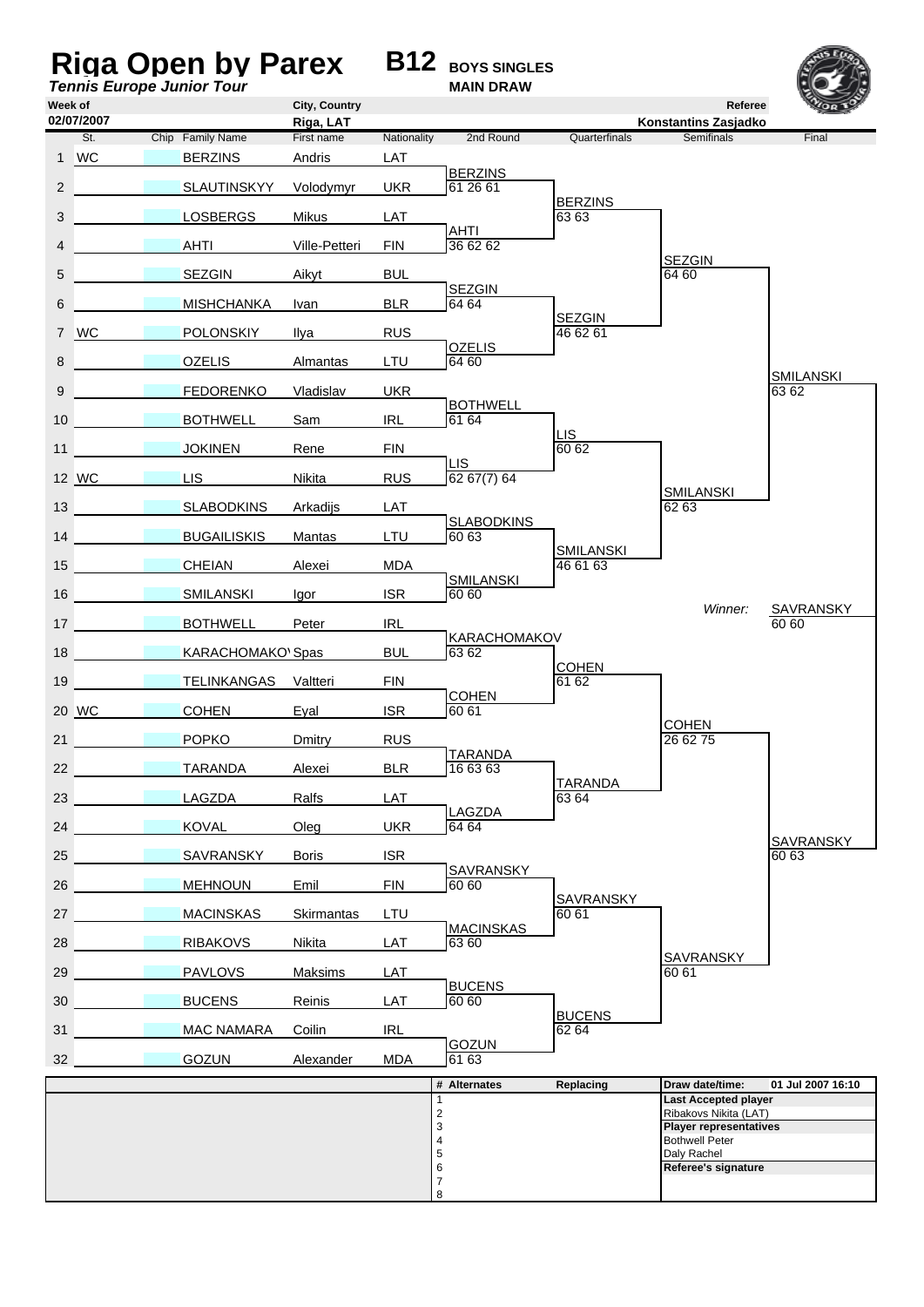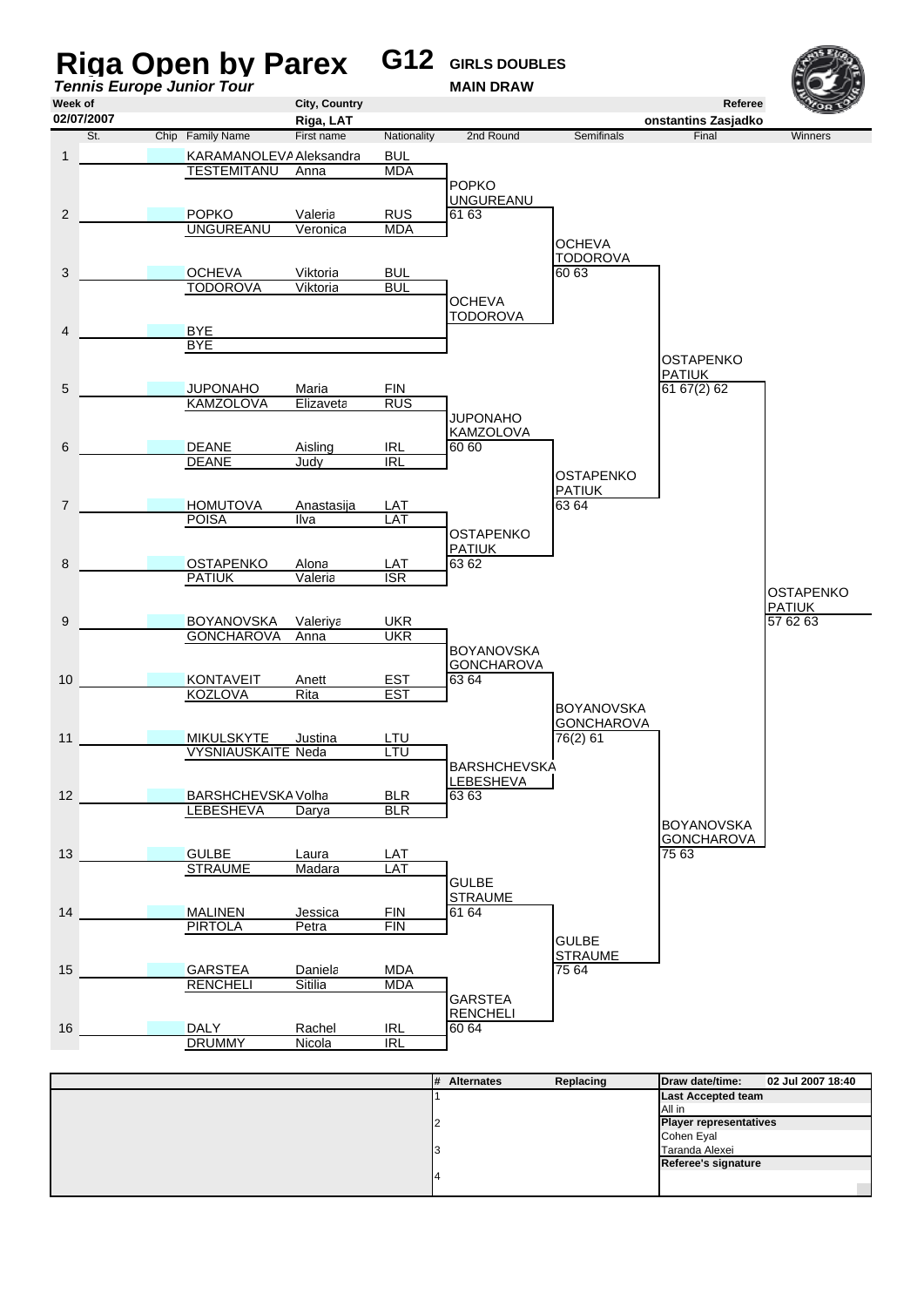

| 1# | Alle Hales | Replacing | <b>Privation</b> date/time.   | UZ JUI ZUUT 10.40 |
|----|------------|-----------|-------------------------------|-------------------|
|    |            |           | <b>Last Accepted team</b>     |                   |
|    |            |           | All in                        |                   |
|    |            |           | <b>Player representatives</b> |                   |
|    |            |           | Cohen Eyal                    |                   |
|    |            |           | Taranda Alexei                |                   |
|    |            |           | Referee's signature           |                   |
|    |            |           |                               |                   |
|    |            |           |                               |                   |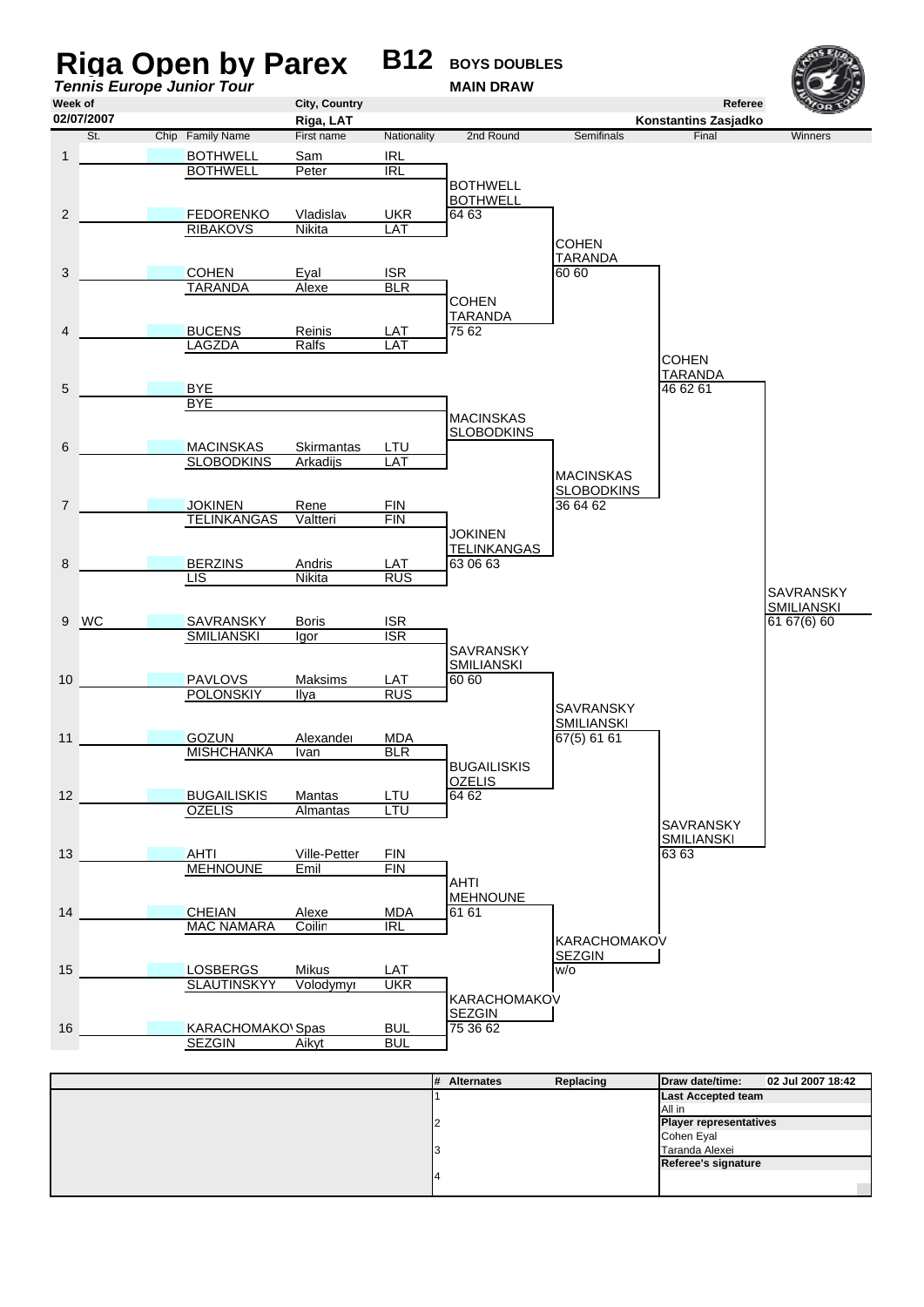

| ıπ | <b>ARCHITECT</b> | nepiaenig | P                             | <b>VE VUI EVUI TU.TE</b> |
|----|------------------|-----------|-------------------------------|--------------------------|
|    |                  |           | <b>Last Accepted team</b>     |                          |
|    |                  |           | All in                        |                          |
|    |                  |           | <b>Player representatives</b> |                          |
|    |                  |           | Cohen Eyal                    |                          |
|    |                  |           | Taranda Alexei                |                          |
|    |                  |           | Referee's signature           |                          |
|    |                  |           |                               |                          |
|    |                  |           |                               |                          |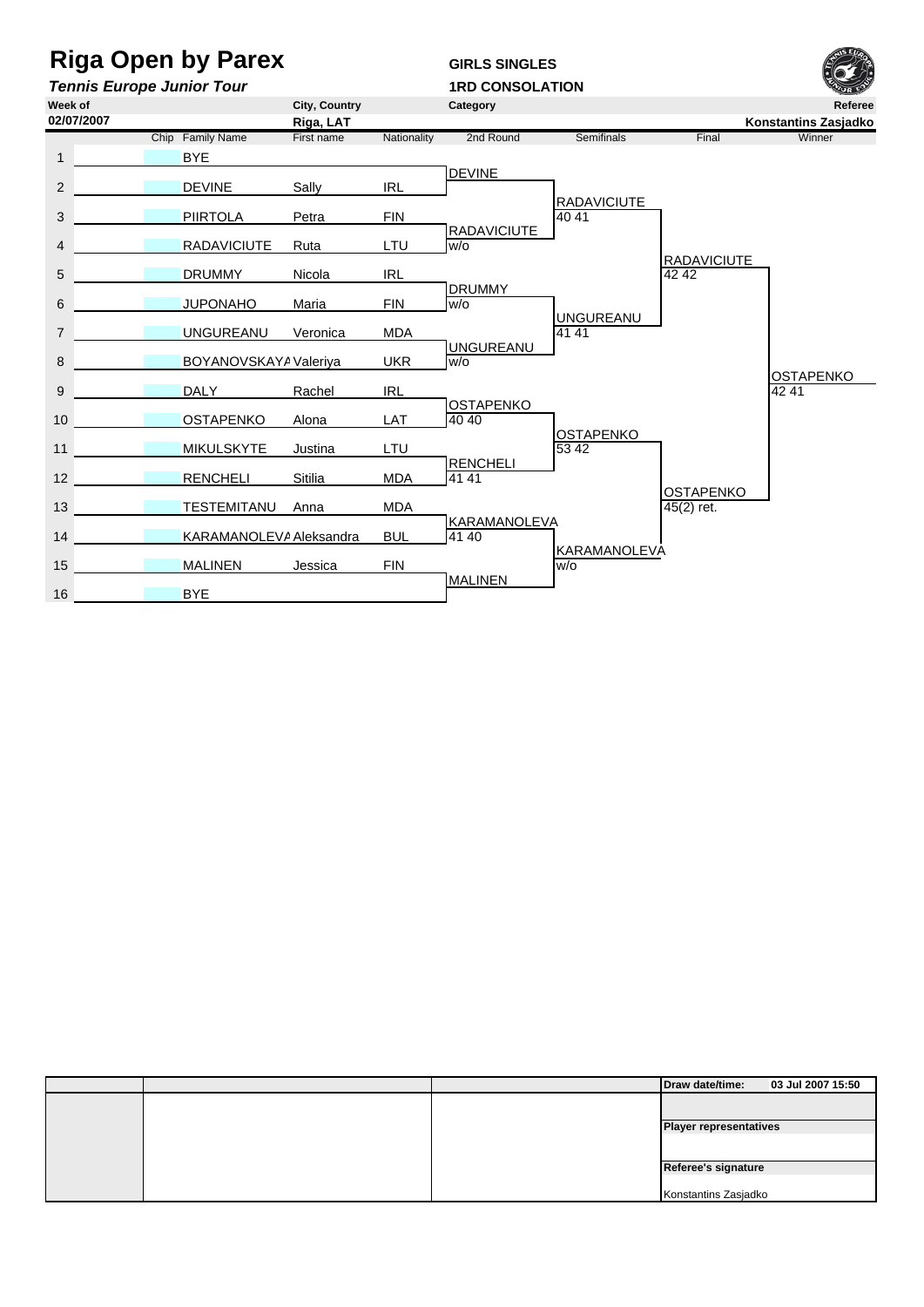## **Riga Open by Parex GIRLS SINGLES**

*Tennis Europe Junior Tour* **1RD CONSOLATION**

**Week of City, Country Category Referee Riga, LAT Konstantins Zasjadko**<br> **Riga, LAT Konstantins Zasjadko**<br>
Final **Winner** Mationality 2nd Round Semifinals **Final** *Winner* Chip Family Name First name Nationality 2nd Round Semifinals Final Winner 1 BYE IRL **DEVINE** 2 DEVINE Sally Umpire *b* RADAVICIUTE 3 **PIIRTOLA** Petra FIN 40 41 EXADAVICIUTE 4 RADAVICIUTE Ruta LTU W/o RADAVICIUTE<br>42 42 5 5 DRUMMY Nicola IRL 42 42 FIN DRUMMY 6 6 JUPONAHO Maria FIN w/o Umpire *b* UNGUREANU 7 UNGUREANU Veronica MDA 41 41 41 UMPIRE AND UNGUREANU 8 BOYANOVSKAYA Valeriya UKR W/o OSTAPENKO<br>42 41 9 9 DALY Rachel IRL 42 41 LAT 0STAPENKO 10 OSTAPENKO Alona OSTAPENKO<br>53 42 11 MIKULSKYTE Justina LTU RENCHELI<br>MDA 41 41 12 **RENCHELI** Sitilia MDA 41 41 **OSTAPENKO** 13 TESTEMITANU Anna MDA 45(2) ret. EMPIRE **BULLEXA**<br>BULLEMANA 41 40 14 KARAMANOLEVA Aleksandra Umpire *a* KARAMANOLEVA 15 MALINEN Jessica FIN WO **MALINEN** 16 **BYE 02/07/2007**

|  | Draw date/time:               | 03 Jul 2007 15:50 |
|--|-------------------------------|-------------------|
|  |                               |                   |
|  | <b>Player representatives</b> |                   |
|  |                               |                   |
|  | Referee's signature           |                   |
|  |                               |                   |
|  | Konstantins Zasjadko          |                   |